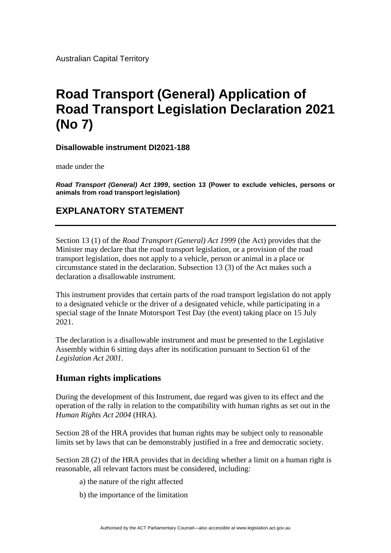Australian Capital Territory

# **Road Transport (General) Application of Road Transport Legislation Declaration 2021 (No 7)**

**Disallowable instrument DI2021-188**

made under the

*Road Transport (General) Act 1999***, section 13 (Power to exclude vehicles, persons or animals from road transport legislation)**

## **EXPLANATORY STATEMENT**

Section 13 (1) of the *Road Transport (General) Act 1999* (the Act) provides that the Minister may declare that the road transport legislation, or a provision of the road transport legislation, does not apply to a vehicle, person or animal in a place or circumstance stated in the declaration. Subsection 13 (3) of the Act makes such a declaration a disallowable instrument.

This instrument provides that certain parts of the road transport legislation do not apply to a designated vehicle or the driver of a designated vehicle, while participating in a special stage of the Innate Motorsport Test Day (the event) taking place on 15 July 2021.

The declaration is a disallowable instrument and must be presented to the Legislative Assembly within 6 sitting days after its notification pursuant to Section 61 of the *Legislation Act 2001*.

#### **Human rights implications**

During the development of this Instrument, due regard was given to its effect and the operation of the rally in relation to the compatibility with human rights as set out in the *Human Rights Act 2004* (HRA).

Section 28 of the HRA provides that human rights may be subject only to reasonable limits set by laws that can be demonstrably justified in a free and democratic society.

Section 28 (2) of the HRA provides that in deciding whether a limit on a human right is reasonable, all relevant factors must be considered, including:

- a) the nature of the right affected
- b) the importance of the limitation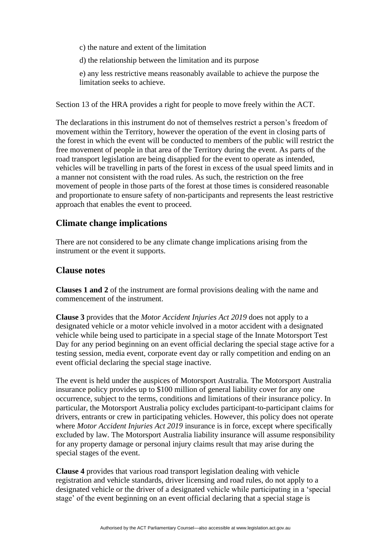- c) the nature and extent of the limitation
- d) the relationship between the limitation and its purpose
- e) any less restrictive means reasonably available to achieve the purpose the limitation seeks to achieve.

Section 13 of the HRA provides a right for people to move freely within the ACT.

The declarations in this instrument do not of themselves restrict a person's freedom of movement within the Territory, however the operation of the event in closing parts of the forest in which the event will be conducted to members of the public will restrict the free movement of people in that area of the Territory during the event. As parts of the road transport legislation are being disapplied for the event to operate as intended, vehicles will be travelling in parts of the forest in excess of the usual speed limits and in a manner not consistent with the road rules. As such, the restriction on the free movement of people in those parts of the forest at those times is considered reasonable and proportionate to ensure safety of non-participants and represents the least restrictive approach that enables the event to proceed.

### **Climate change implications**

There are not considered to be any climate change implications arising from the instrument or the event it supports.

#### **Clause notes**

**Clauses 1 and 2** of the instrument are formal provisions dealing with the name and commencement of the instrument.

**Clause 3** provides that the *Motor Accident Injuries Act 2019* does not apply to a designated vehicle or a motor vehicle involved in a motor accident with a designated vehicle while being used to participate in a special stage of the Innate Motorsport Test Day for any period beginning on an event official declaring the special stage active for a testing session, media event, corporate event day or rally competition and ending on an event official declaring the special stage inactive.

The event is held under the auspices of Motorsport Australia. The Motorsport Australia insurance policy provides up to \$100 million of general liability cover for any one occurrence, subject to the terms, conditions and limitations of their insurance policy. In particular, the Motorsport Australia policy excludes participant-to-participant claims for drivers, entrants or crew in participating vehicles. However, this policy does not operate where *Motor Accident Injuries Act 2019* insurance is in force, except where specifically excluded by law. The Motorsport Australia liability insurance will assume responsibility for any property damage or personal injury claims result that may arise during the special stages of the event.

**Clause 4** provides that various road transport legislation dealing with vehicle registration and vehicle standards, driver licensing and road rules, do not apply to a designated vehicle or the driver of a designated vehicle while participating in a 'special stage' of the event beginning on an event official declaring that a special stage is